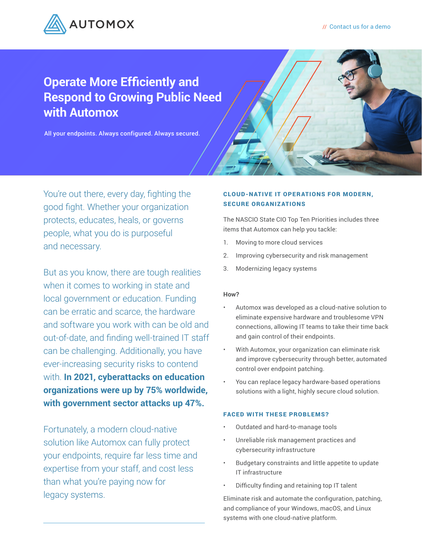

## **Operate More Efficiently and Respond to Growing Public Need with Automox**

All your endpoints. Always configured. Always secured.

You're out there, every day, fighting the good fight. Whether your organization protects, educates, heals, or governs people, what you do is purposeful and necessary.

But as you know, there are tough realities when it comes to working in state and local government or education. Funding can be erratic and scarce, the hardware and software you work with can be old and out-of-date, and finding well-trained IT staff can be challenging. Additionally, you have ever-increasing security risks to contend with. **In 2021, cyberattacks on education organizations were up by 75% worldwide, with government sector attacks up 47%.** 

Fortunately, a modern cloud-native solution like Automox can fully protect your endpoints, require far less time and expertise from your staff, and cost less than what you're paying now for legacy systems.

### **CLOUD-NATIVE IT OPERATIONS FOR MODERN.** SECURE ORGANIZATIONS

The NASCIO State CIO Top Ten Priorities includes three items that Automox can help you tackle:

- 1. Moving to more cloud services
- 2. Improving cybersecurity and risk management
- 3. Modernizing legacy systems

### **How?**

- Automox was developed as a cloud-native solution to eliminate expensive hardware and troublesome VPN connections, allowing IT teams to take their time back and gain control of their endpoints.
- With Automox, your organization can eliminate risk and improve cybersecurity through better, automated control over endpoint patching.
- You can replace legacy hardware-based operations solutions with a light, highly secure cloud solution.

### FACED WITH THESE PROBLEMS?

- Outdated and hard-to-manage tools
- Unreliable risk management practices and cybersecurity infrastructure
- Budgetary constraints and little appetite to update IT infrastructure
- Difficulty finding and retaining top IT talent

Eliminate risk and automate the configuration, patching, and compliance of your Windows, macOS, and Linux systems with one cloud-native platform.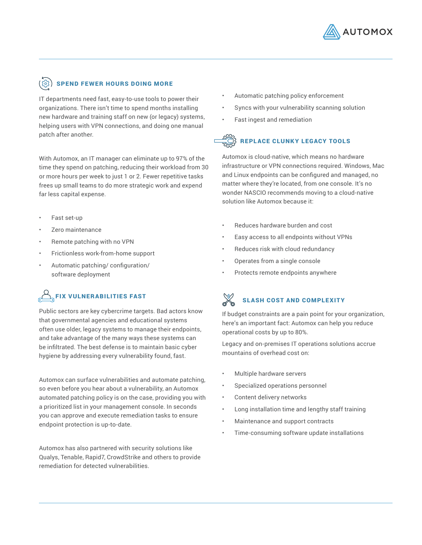

### $\tilde{\textbf{S}}$ ) SPEND FEWER HOURS DOING MORE

IT departments need fast, easy-to-use tools to power their organizations. There isn't time to spend months installing new hardware and training staff on new (or legacy) systems, helping users with VPN connections, and doing one manual patch after another.

With Automox, an IT manager can eliminate up to 97% of the time they spend on patching, reducing their workload from 30 or more hours per week to just 1 or 2. Fewer repetitive tasks frees up small teams to do more strategic work and expend far less capital expense.

- Fast set-up
- Zero maintenance
- Remote patching with no VPN
- Frictionless work-from-home support
- Automatic patching/ configuration/ software deployment

## $\text{F}_{\text{F}}$ FIX VULNERABILITIES FAST

Public sectors are key cybercrime targets. Bad actors know that governmental agencies and educational systems often use older, legacy systems to manage their endpoints, and take advantage of the many ways these systems can be infiltrated. The best defense is to maintain basic cyber hygiene by addressing every vulnerability found, fast.

Automox can surface vulnerabilities and automate patching, so even before you hear about a vulnerability, an Automox automated patching policy is on the case, providing you with a prioritized list in your management console. In seconds you can approve and execute remediation tasks to ensure endpoint protection is up-to-date.

Automox has also partnered with security solutions like Qualys, Tenable, Rapid7, CrowdStrike and others to provide remediation for detected vulnerabilities.

- Automatic patching policy enforcement
- Syncs with your vulnerability scanning solution
- Fast ingest and remediation

### $\widehat{K}$  REPLACE CLUNKY LEGACY TOOLS

Automox is cloud-native, which means no hardware infrastructure or VPN connections required. Windows, Mac and Linux endpoints can be configured and managed, no matter where they're located, from one console. It's no wonder NASCIO recommends moving to a cloud-native solution like Automox because it:

- Reduces hardware burden and cost
- Easy access to all endpoints without VPNs
- Reduces risk with cloud redundancy
- Operates from a single console
- Protects remote endpoints anywhere

# SLASH COST AND COMPLEXITY

If budget constraints are a pain point for your organization, here's an important fact: Automox can help you reduce operational costs by up to 80%.

Legacy and on-premises IT operations solutions accrue mountains of overhead cost on:

- Multiple hardware servers
- Specialized operations personnel
- Content delivery networks
- Long installation time and lengthy staff training
- Maintenance and support contracts
- Time-consuming software update installations